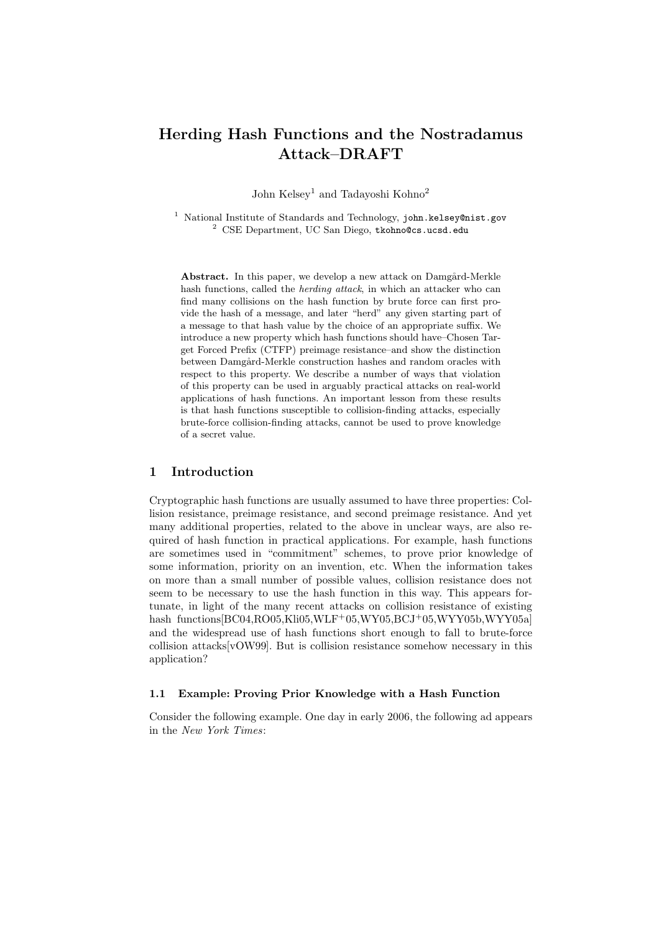# Herding Hash Functions and the Nostradamus Attack–DRAFT

John  $K$ elsey<sup>1</sup> and Tadayoshi Kohno<sup>2</sup>

<sup>1</sup> National Institute of Standards and Technology, john.kelsey@nist.gov <sup>2</sup> CSE Department, UC San Diego, tkohno@cs.ucsd.edu

Abstract. In this paper, we develop a new attack on Damgård-Merkle hash functions, called the *herding attack*, in which an attacker who can find many collisions on the hash function by brute force can first provide the hash of a message, and later "herd" any given starting part of a message to that hash value by the choice of an appropriate suffix. We introduce a new property which hash functions should have–Chosen Target Forced Prefix (CTFP) preimage resistance–and show the distinction between Damgård-Merkle construction hashes and random oracles with respect to this property. We describe a number of ways that violation of this property can be used in arguably practical attacks on real-world applications of hash functions. An important lesson from these results is that hash functions susceptible to collision-finding attacks, especially brute-force collision-finding attacks, cannot be used to prove knowledge of a secret value.

# 1 Introduction

Cryptographic hash functions are usually assumed to have three properties: Collision resistance, preimage resistance, and second preimage resistance. And yet many additional properties, related to the above in unclear ways, are also required of hash function in practical applications. For example, hash functions are sometimes used in "commitment" schemes, to prove prior knowledge of some information, priority on an invention, etc. When the information takes on more than a small number of possible values, collision resistance does not seem to be necessary to use the hash function in this way. This appears fortunate, in light of the many recent attacks on collision resistance of existing hash functions[BC04,RO05,Kli05,WLF<sup>+</sup>05,WY05,BCJ<sup>+</sup>05,WYY05b,WYY05a] and the widespread use of hash functions short enough to fall to brute-force collision attacks[vOW99]. But is collision resistance somehow necessary in this application?

### 1.1 Example: Proving Prior Knowledge with a Hash Function

Consider the following example. One day in early 2006, the following ad appears in the New York Times: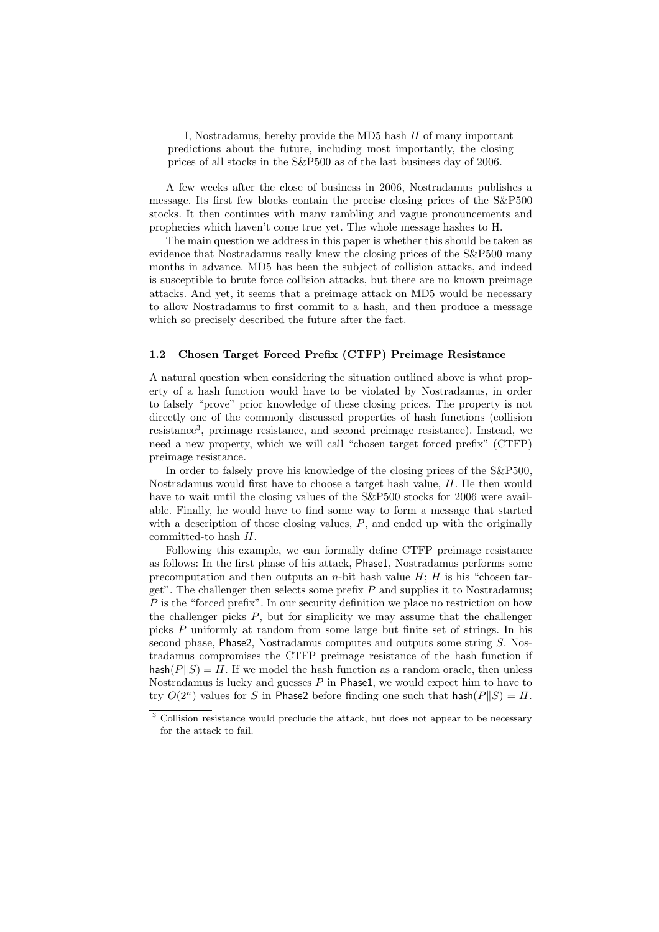I, Nostradamus, hereby provide the MD5 hash H of many important predictions about the future, including most importantly, the closing prices of all stocks in the S&P500 as of the last business day of 2006.

A few weeks after the close of business in 2006, Nostradamus publishes a message. Its first few blocks contain the precise closing prices of the S&P500 stocks. It then continues with many rambling and vague pronouncements and prophecies which haven't come true yet. The whole message hashes to H.

The main question we address in this paper is whether this should be taken as evidence that Nostradamus really knew the closing prices of the S&P500 many months in advance. MD5 has been the subject of collision attacks, and indeed is susceptible to brute force collision attacks, but there are no known preimage attacks. And yet, it seems that a preimage attack on MD5 would be necessary to allow Nostradamus to first commit to a hash, and then produce a message which so precisely described the future after the fact.

# 1.2 Chosen Target Forced Prefix (CTFP) Preimage Resistance

A natural question when considering the situation outlined above is what property of a hash function would have to be violated by Nostradamus, in order to falsely "prove" prior knowledge of these closing prices. The property is not directly one of the commonly discussed properties of hash functions (collision resistance<sup>3</sup>, preimage resistance, and second preimage resistance). Instead, we need a new property, which we will call "chosen target forced prefix" (CTFP) preimage resistance.

In order to falsely prove his knowledge of the closing prices of the S&P500, Nostradamus would first have to choose a target hash value, H. He then would have to wait until the closing values of the  $S\&P500$  stocks for 2006 were available. Finally, he would have to find some way to form a message that started with a description of those closing values,  $P$ , and ended up with the originally committed-to hash H.

Following this example, we can formally define CTFP preimage resistance as follows: In the first phase of his attack, Phase1, Nostradamus performs some precomputation and then outputs an *n*-bit hash value  $H$ ;  $H$  is his "chosen target". The challenger then selects some prefix  $P$  and supplies it to Nostradamus; P is the "forced prefix". In our security definition we place no restriction on how the challenger picks  $P$ , but for simplicity we may assume that the challenger picks P uniformly at random from some large but finite set of strings. In his second phase, Phase2, Nostradamus computes and outputs some string S. Nostradamus compromises the CTFP preimage resistance of the hash function if  $\textsf{hash}(P||S) = H$ . If we model the hash function as a random oracle, then unless Nostradamus is lucky and guesses  $P$  in Phase1, we would expect him to have to try  $O(2^n)$  values for S in Phase2 before finding one such that  $\text{hash}(P||S) = H$ .

<sup>&</sup>lt;sup>3</sup> Collision resistance would preclude the attack, but does not appear to be necessary for the attack to fail.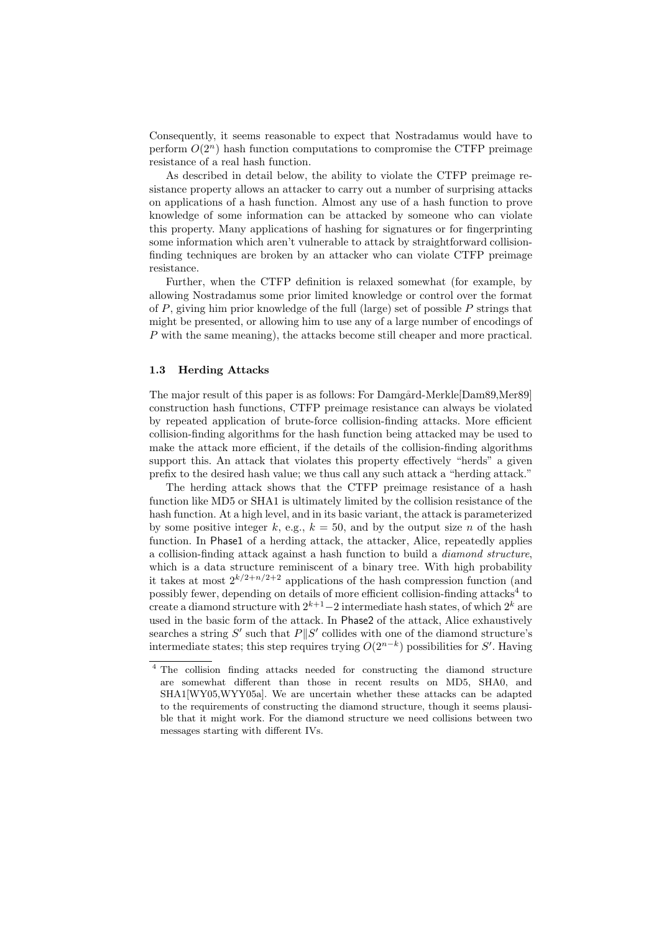Consequently, it seems reasonable to expect that Nostradamus would have to perform  $O(2^n)$  hash function computations to compromise the CTFP preimage resistance of a real hash function.

As described in detail below, the ability to violate the CTFP preimage resistance property allows an attacker to carry out a number of surprising attacks on applications of a hash function. Almost any use of a hash function to prove knowledge of some information can be attacked by someone who can violate this property. Many applications of hashing for signatures or for fingerprinting some information which aren't vulnerable to attack by straightforward collisionfinding techniques are broken by an attacker who can violate CTFP preimage resistance.

Further, when the CTFP definition is relaxed somewhat (for example, by allowing Nostradamus some prior limited knowledge or control over the format of  $P$ , giving him prior knowledge of the full (large) set of possible  $P$  strings that might be presented, or allowing him to use any of a large number of encodings of P with the same meaning), the attacks become still cheaper and more practical.

#### 1.3 Herding Attacks

The major result of this paper is as follows: For Damgård-Merkle[Dam89,Mer89] construction hash functions, CTFP preimage resistance can always be violated by repeated application of brute-force collision-finding attacks. More efficient collision-finding algorithms for the hash function being attacked may be used to make the attack more efficient, if the details of the collision-finding algorithms support this. An attack that violates this property effectively "herds" a given prefix to the desired hash value; we thus call any such attack a "herding attack."

The herding attack shows that the CTFP preimage resistance of a hash function like MD5 or SHA1 is ultimately limited by the collision resistance of the hash function. At a high level, and in its basic variant, the attack is parameterized by some positive integer k, e.g.,  $k = 50$ , and by the output size n of the hash function. In Phase1 of a herding attack, the attacker, Alice, repeatedly applies a collision-finding attack against a hash function to build a diamond structure, which is a data structure reminiscent of a binary tree. With high probability it takes at most  $2^{k/2+n/2+2}$  applications of the hash compression function (and possibly fewer, depending on details of more efficient collision-finding attacks<sup>4</sup> to create a diamond structure with  $2^{k+1}-2$  intermediate hash states, of which  $2^k$  are used in the basic form of the attack. In Phase2 of the attack, Alice exhaustively searches a string S' such that  $P||S'$  collides with one of the diamond structure's intermediate states; this step requires trying  $O(2^{n-k})$  possibilities for S'. Having

<sup>4</sup> The collision finding attacks needed for constructing the diamond structure are somewhat different than those in recent results on MD5, SHA0, and SHA1[WY05,WYY05a]. We are uncertain whether these attacks can be adapted to the requirements of constructing the diamond structure, though it seems plausible that it might work. For the diamond structure we need collisions between two messages starting with different IVs.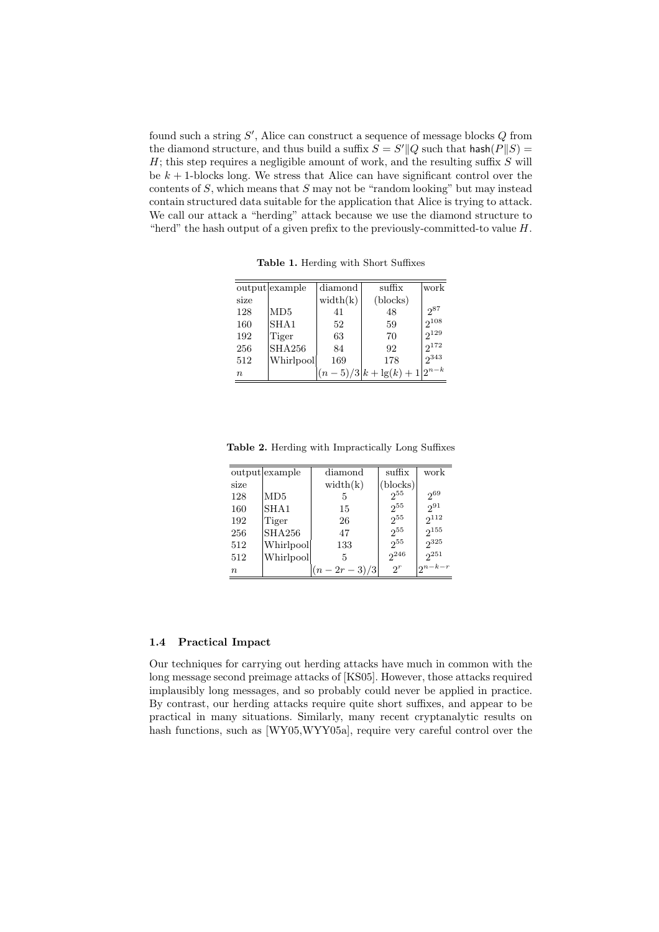found such a string  $S'$ , Alice can construct a sequence of message blocks  $Q$  from the diamond structure, and thus build a suffix  $S = S' || Q$  such that  $\text{hash}(P||S) =$  $H$ ; this step requires a negligible amount of work, and the resulting suffix  $S$  will be  $k + 1$ -blocks long. We stress that Alice can have significant control over the contents of  $S$ , which means that  $S$  may not be "random looking" but may instead contain structured data suitable for the application that Alice is trying to attack. We call our attack a "herding" attack because we use the diamond structure to "herd" the hash output of a given prefix to the previously-committed-to value H.

Table 1. Herding with Short Suffixes

|                  | output example | diamond   | suffix           | work         |
|------------------|----------------|-----------|------------------|--------------|
| size             |                | width(k)  | (blocks)         |              |
| 128              | MD5            | 41        | 48               | $2^{87}$     |
| 160              | SHA1           | 52        | 59               | $2^{108}$    |
| 192              | Tiger          | 63        | 70               | $2^{129}$    |
| 256              | <b>SHA256</b>  | 84        | 92               | $2^{172}$    |
| 512              | Whirlpool      | 169       | 178              | $2^{343}$    |
| $\boldsymbol{n}$ |                | $(n-5)/3$ | $k + \lg(k) + 1$ | $\sum_{n=k}$ |

Table 2. Herding with Impractically Long Suffixes

|                  | output example | diamond                         | suffix    | work        |
|------------------|----------------|---------------------------------|-----------|-------------|
| size             |                | width(k)                        | blocks)   |             |
| 128              | MD5            | 5                               | $2^{55}$  | $2^{69}$    |
| 160              | SHA1           | 15                              | $2^{55}$  | $2^{91}$    |
| 192              | Tiger          | 26                              | $2^{55}$  | $2^{112}$   |
| 256              | <b>SHA256</b>  | 47                              | $2^{55}$  | $2^{155}$   |
| 512              | Whirlpool      | 133                             | $2^{55}$  | $2^{325}$   |
| 512              | Whirlpool      | 5                               | $2^{246}$ | $2^{251}$   |
| $\boldsymbol{n}$ |                | $2r-3/3$<br>$\lfloor n \rfloor$ | $2^r$     | $2^{n-k-r}$ |

#### 1.4 Practical Impact

Our techniques for carrying out herding attacks have much in common with the long message second preimage attacks of [KS05]. However, those attacks required implausibly long messages, and so probably could never be applied in practice. By contrast, our herding attacks require quite short suffixes, and appear to be practical in many situations. Similarly, many recent cryptanalytic results on hash functions, such as [WY05,WYY05a], require very careful control over the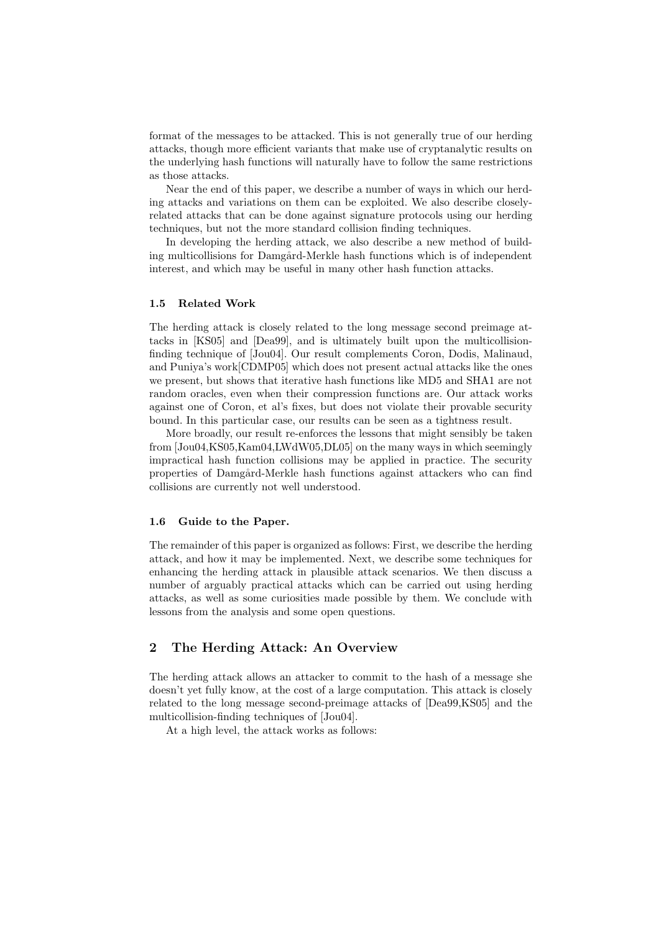format of the messages to be attacked. This is not generally true of our herding attacks, though more efficient variants that make use of cryptanalytic results on the underlying hash functions will naturally have to follow the same restrictions as those attacks.

Near the end of this paper, we describe a number of ways in which our herding attacks and variations on them can be exploited. We also describe closelyrelated attacks that can be done against signature protocols using our herding techniques, but not the more standard collision finding techniques.

In developing the herding attack, we also describe a new method of building multicollisions for Damgård-Merkle hash functions which is of independent interest, and which may be useful in many other hash function attacks.

#### 1.5 Related Work

The herding attack is closely related to the long message second preimage attacks in [KS05] and [Dea99], and is ultimately built upon the multicollisionfinding technique of [Jou04]. Our result complements Coron, Dodis, Malinaud, and Puniya's work[CDMP05] which does not present actual attacks like the ones we present, but shows that iterative hash functions like MD5 and SHA1 are not random oracles, even when their compression functions are. Our attack works against one of Coron, et al's fixes, but does not violate their provable security bound. In this particular case, our results can be seen as a tightness result.

More broadly, our result re-enforces the lessons that might sensibly be taken from [Jou04,KS05,Kam04,LWdW05,DL05] on the many ways in which seemingly impractical hash function collisions may be applied in practice. The security properties of Damgård-Merkle hash functions against attackers who can find collisions are currently not well understood.

#### 1.6 Guide to the Paper.

The remainder of this paper is organized as follows: First, we describe the herding attack, and how it may be implemented. Next, we describe some techniques for enhancing the herding attack in plausible attack scenarios. We then discuss a number of arguably practical attacks which can be carried out using herding attacks, as well as some curiosities made possible by them. We conclude with lessons from the analysis and some open questions.

# 2 The Herding Attack: An Overview

The herding attack allows an attacker to commit to the hash of a message she doesn't yet fully know, at the cost of a large computation. This attack is closely related to the long message second-preimage attacks of [Dea99,KS05] and the multicollision-finding techniques of [Jou04].

At a high level, the attack works as follows: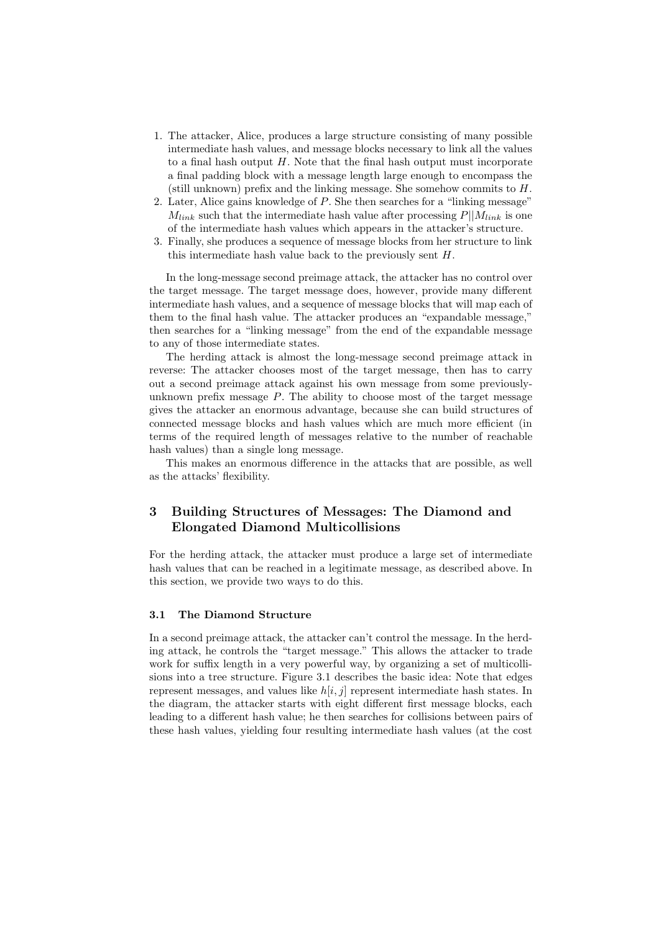- 1. The attacker, Alice, produces a large structure consisting of many possible intermediate hash values, and message blocks necessary to link all the values to a final hash output  $H$ . Note that the final hash output must incorporate a final padding block with a message length large enough to encompass the (still unknown) prefix and the linking message. She somehow commits to H.
- 2. Later, Alice gains knowledge of P. She then searches for a "linking message"  $M_{link}$  such that the intermediate hash value after processing  $P||M_{link}$  is one of the intermediate hash values which appears in the attacker's structure.
- 3. Finally, she produces a sequence of message blocks from her structure to link this intermediate hash value back to the previously sent H.

In the long-message second preimage attack, the attacker has no control over the target message. The target message does, however, provide many different intermediate hash values, and a sequence of message blocks that will map each of them to the final hash value. The attacker produces an "expandable message," then searches for a "linking message" from the end of the expandable message to any of those intermediate states.

The herding attack is almost the long-message second preimage attack in reverse: The attacker chooses most of the target message, then has to carry out a second preimage attack against his own message from some previouslyunknown prefix message  $P$ . The ability to choose most of the target message gives the attacker an enormous advantage, because she can build structures of connected message blocks and hash values which are much more efficient (in terms of the required length of messages relative to the number of reachable hash values) than a single long message.

This makes an enormous difference in the attacks that are possible, as well as the attacks' flexibility.

# 3 Building Structures of Messages: The Diamond and Elongated Diamond Multicollisions

For the herding attack, the attacker must produce a large set of intermediate hash values that can be reached in a legitimate message, as described above. In this section, we provide two ways to do this.

## 3.1 The Diamond Structure

In a second preimage attack, the attacker can't control the message. In the herding attack, he controls the "target message." This allows the attacker to trade work for suffix length in a very powerful way, by organizing a set of multicollisions into a tree structure. Figure 3.1 describes the basic idea: Note that edges represent messages, and values like  $h[i, j]$  represent intermediate hash states. In the diagram, the attacker starts with eight different first message blocks, each leading to a different hash value; he then searches for collisions between pairs of these hash values, yielding four resulting intermediate hash values (at the cost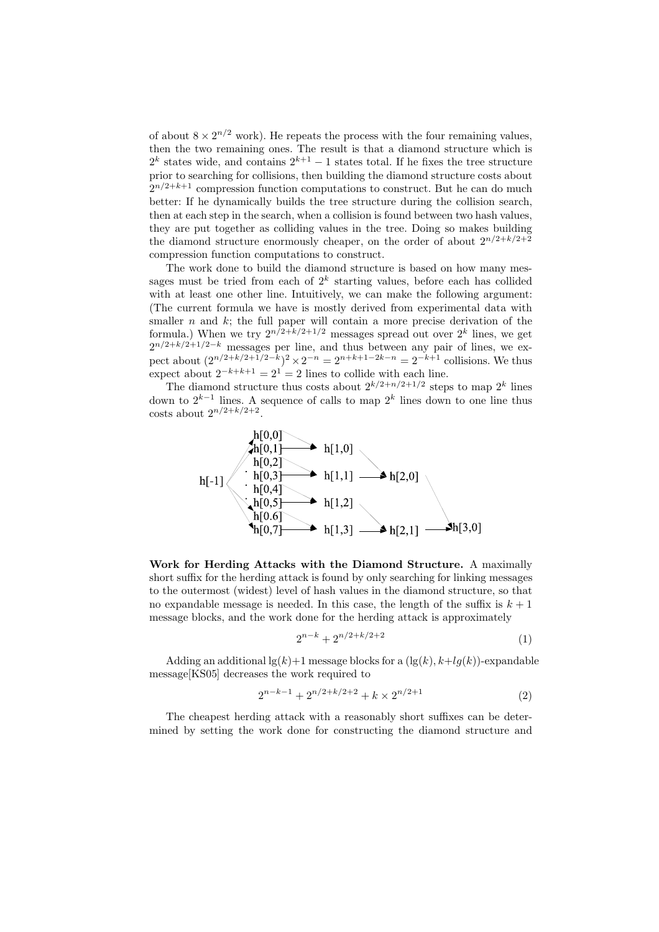of about  $8 \times 2^{n/2}$  work). He repeats the process with the four remaining values, then the two remaining ones. The result is that a diamond structure which is  $2<sup>k</sup>$  states wide, and contains  $2<sup>k+1</sup> - 1$  states total. If he fixes the tree structure prior to searching for collisions, then building the diamond structure costs about  $2^{n/2+k+1}$  compression function computations to construct. But he can do much better: If he dynamically builds the tree structure during the collision search, then at each step in the search, when a collision is found between two hash values, they are put together as colliding values in the tree. Doing so makes building the diamond structure enormously cheaper, on the order of about  $2^{n/2+k/2+\bar{2}}$ compression function computations to construct.

The work done to build the diamond structure is based on how many messages must be tried from each of  $2^k$  starting values, before each has collided with at least one other line. Intuitively, we can make the following argument: (The current formula we have is mostly derived from experimental data with smaller  $n$  and  $k$ ; the full paper will contain a more precise derivation of the formula.) When we try  $2^{n/2+k/2+1/2}$  messages spread out over  $2^k$  lines, we get  $2^{n/2+k/2+1/2-k}$  messages per line, and thus between any pair of lines, we expect about  $(2^{n/2+k/2+1/2-k})^2 \times 2^{-n} = 2^{n+k+1-2k-n} = 2^{-k+1}$  collisions. We thus expect about  $2^{-k+k+1} = 2^{1} = 2$  lines to collide with each line.

The diamond structure thus costs about  $2^{k/2+n/2+1/2}$  steps to map  $2^k$  lines down to  $2^{k-1}$  lines. A sequence of calls to map  $2^k$  lines down to one line thus costs about  $2^{n/2+k/2+2}$ .



Work for Herding Attacks with the Diamond Structure. A maximally short suffix for the herding attack is found by only searching for linking messages to the outermost (widest) level of hash values in the diamond structure, so that no expandable message is needed. In this case, the length of the suffix is  $k + 1$ message blocks, and the work done for the herding attack is approximately

$$
2^{n-k} + 2^{n/2 + k/2 + 2} \tag{1}
$$

Adding an additional  $\lg(k)+1$  message blocks for a  $(\lg(k), k+lq(k))$ -expandable message[KS05] decreases the work required to

$$
2^{n-k-1} + 2^{n/2 + k/2 + 2} + k \times 2^{n/2 + 1}
$$
 (2)

The cheapest herding attack with a reasonably short suffixes can be determined by setting the work done for constructing the diamond structure and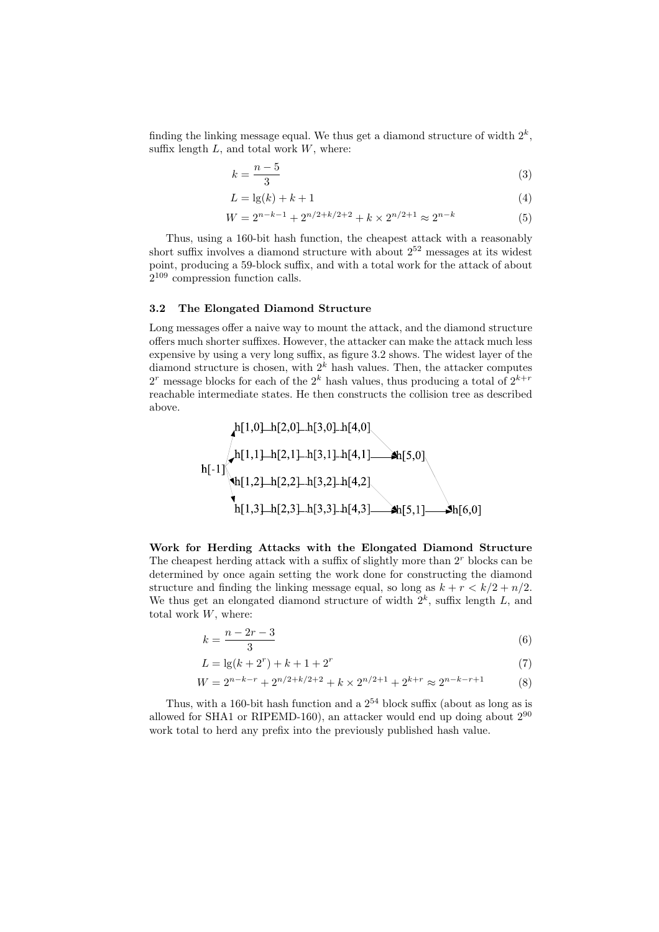finding the linking message equal. We thus get a diamond structure of width  $2^k$ , suffix length  $L$ , and total work  $W$ , where:

$$
k = \frac{n-5}{3} \tag{3}
$$

$$
L = \lg(k) + k + 1\tag{4}
$$

$$
W = 2^{n-k-1} + 2^{n/2+k/2+2} + k \times 2^{n/2+1} \approx 2^{n-k}
$$
 (5)

Thus, using a 160-bit hash function, the cheapest attack with a reasonably short suffix involves a diamond structure with about  $2^{52}$  messages at its widest point, producing a 59-block suffix, and with a total work for the attack of about 2 <sup>109</sup> compression function calls.

# 3.2 The Elongated Diamond Structure

Long messages offer a naive way to mount the attack, and the diamond structure offers much shorter suffixes. However, the attacker can make the attack much less expensive by using a very long suffix, as figure 3.2 shows. The widest layer of the diamond structure is chosen, with  $2^k$  hash values. Then, the attacker computes  $2<sup>r</sup>$  message blocks for each of the  $2<sup>k</sup>$  hash values, thus producing a total of  $2<sup>k+r</sup>$ reachable intermediate states. He then constructs the collision tree as described above.



Work for Herding Attacks with the Elongated Diamond Structure The cheapest herding attack with a suffix of slightly more than  $2<sup>r</sup>$  blocks can be determined by once again setting the work done for constructing the diamond structure and finding the linking message equal, so long as  $k + r < k/2 + n/2$ . We thus get an elongated diamond structure of width  $2^k$ , suffix length L, and total work  $W$ , where:

$$
k = \frac{n - 2r - 3}{3} \tag{6}
$$

$$
L = \lg(k + 2^r) + k + 1 + 2^r \tag{7}
$$

$$
W = 2^{n-k-r} + 2^{n/2+k/2+2} + k \times 2^{n/2+1} + 2^{k+r} \approx 2^{n-k-r+1}
$$
 (8)

Thus, with a 160-bit hash function and a  $2^{54}$  block suffix (about as long as is allowed for SHA1 or RIPEMD-160), an attacker would end up doing about  $2^{90}$ work total to herd any prefix into the previously published hash value.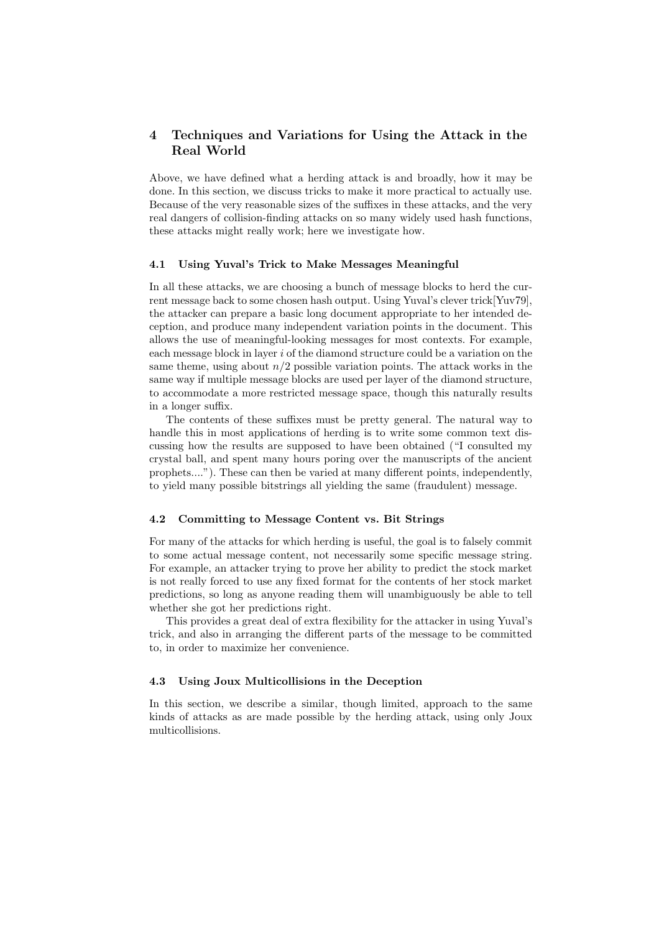# 4 Techniques and Variations for Using the Attack in the Real World

Above, we have defined what a herding attack is and broadly, how it may be done. In this section, we discuss tricks to make it more practical to actually use. Because of the very reasonable sizes of the suffixes in these attacks, and the very real dangers of collision-finding attacks on so many widely used hash functions, these attacks might really work; here we investigate how.

#### 4.1 Using Yuval's Trick to Make Messages Meaningful

In all these attacks, we are choosing a bunch of message blocks to herd the current message back to some chosen hash output. Using Yuval's clever trick[Yuv79], the attacker can prepare a basic long document appropriate to her intended deception, and produce many independent variation points in the document. This allows the use of meaningful-looking messages for most contexts. For example, each message block in layer  $i$  of the diamond structure could be a variation on the same theme, using about  $n/2$  possible variation points. The attack works in the same way if multiple message blocks are used per layer of the diamond structure, to accommodate a more restricted message space, though this naturally results in a longer suffix.

The contents of these suffixes must be pretty general. The natural way to handle this in most applications of herding is to write some common text discussing how the results are supposed to have been obtained ("I consulted my crystal ball, and spent many hours poring over the manuscripts of the ancient prophets...."). These can then be varied at many different points, independently, to yield many possible bitstrings all yielding the same (fraudulent) message.

### 4.2 Committing to Message Content vs. Bit Strings

For many of the attacks for which herding is useful, the goal is to falsely commit to some actual message content, not necessarily some specific message string. For example, an attacker trying to prove her ability to predict the stock market is not really forced to use any fixed format for the contents of her stock market predictions, so long as anyone reading them will unambiguously be able to tell whether she got her predictions right.

This provides a great deal of extra flexibility for the attacker in using Yuval's trick, and also in arranging the different parts of the message to be committed to, in order to maximize her convenience.

#### 4.3 Using Joux Multicollisions in the Deception

In this section, we describe a similar, though limited, approach to the same kinds of attacks as are made possible by the herding attack, using only Joux multicollisions.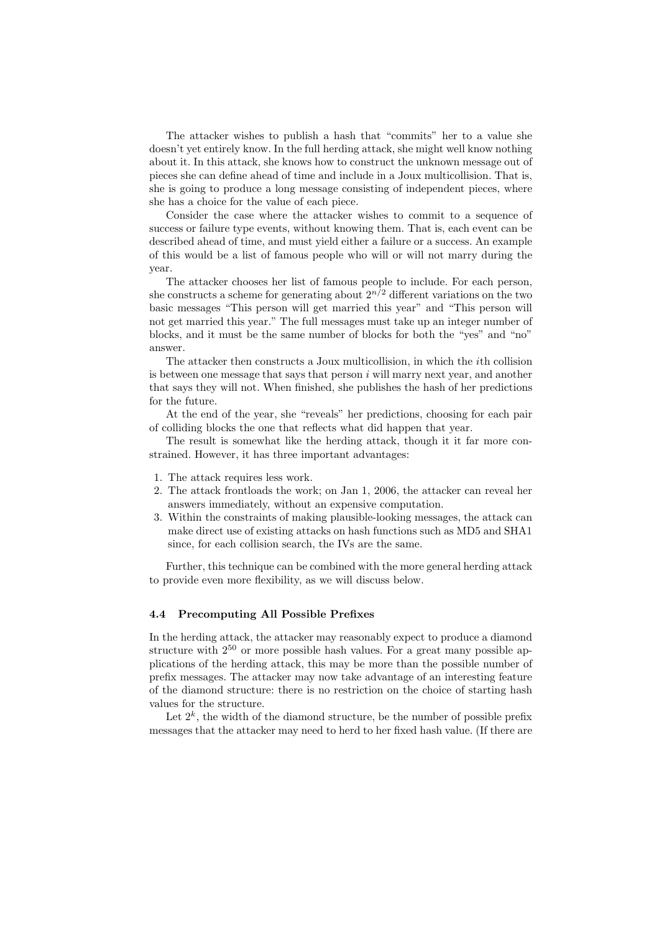The attacker wishes to publish a hash that "commits" her to a value she doesn't yet entirely know. In the full herding attack, she might well know nothing about it. In this attack, she knows how to construct the unknown message out of pieces she can define ahead of time and include in a Joux multicollision. That is, she is going to produce a long message consisting of independent pieces, where she has a choice for the value of each piece.

Consider the case where the attacker wishes to commit to a sequence of success or failure type events, without knowing them. That is, each event can be described ahead of time, and must yield either a failure or a success. An example of this would be a list of famous people who will or will not marry during the year.

The attacker chooses her list of famous people to include. For each person, she constructs a scheme for generating about  $2^{n/2}$  different variations on the two basic messages "This person will get married this year" and "This person will not get married this year." The full messages must take up an integer number of blocks, and it must be the same number of blocks for both the "yes" and "no" answer.

The attacker then constructs a Joux multicollision, in which the ith collision is between one message that says that person  $i$  will marry next year, and another that says they will not. When finished, she publishes the hash of her predictions for the future.

At the end of the year, she "reveals" her predictions, choosing for each pair of colliding blocks the one that reflects what did happen that year.

The result is somewhat like the herding attack, though it it far more constrained. However, it has three important advantages:

- 1. The attack requires less work.
- 2. The attack frontloads the work; on Jan 1, 2006, the attacker can reveal her answers immediately, without an expensive computation.
- 3. Within the constraints of making plausible-looking messages, the attack can make direct use of existing attacks on hash functions such as MD5 and SHA1 since, for each collision search, the IVs are the same.

Further, this technique can be combined with the more general herding attack to provide even more flexibility, as we will discuss below.

### 4.4 Precomputing All Possible Prefixes

In the herding attack, the attacker may reasonably expect to produce a diamond structure with  $2^{50}$  or more possible hash values. For a great many possible applications of the herding attack, this may be more than the possible number of prefix messages. The attacker may now take advantage of an interesting feature of the diamond structure: there is no restriction on the choice of starting hash values for the structure.

Let  $2^k$ , the width of the diamond structure, be the number of possible prefix messages that the attacker may need to herd to her fixed hash value. (If there are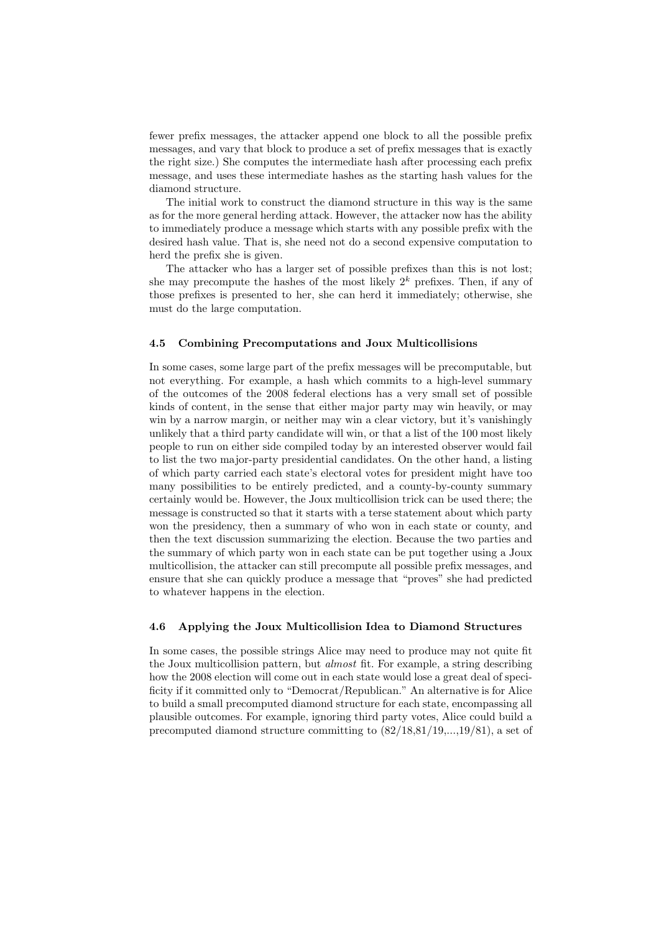fewer prefix messages, the attacker append one block to all the possible prefix messages, and vary that block to produce a set of prefix messages that is exactly the right size.) She computes the intermediate hash after processing each prefix message, and uses these intermediate hashes as the starting hash values for the diamond structure.

The initial work to construct the diamond structure in this way is the same as for the more general herding attack. However, the attacker now has the ability to immediately produce a message which starts with any possible prefix with the desired hash value. That is, she need not do a second expensive computation to herd the prefix she is given.

The attacker who has a larger set of possible prefixes than this is not lost; she may precompute the hashes of the most likely  $2^k$  prefixes. Then, if any of those prefixes is presented to her, she can herd it immediately; otherwise, she must do the large computation.

#### 4.5 Combining Precomputations and Joux Multicollisions

In some cases, some large part of the prefix messages will be precomputable, but not everything. For example, a hash which commits to a high-level summary of the outcomes of the 2008 federal elections has a very small set of possible kinds of content, in the sense that either major party may win heavily, or may win by a narrow margin, or neither may win a clear victory, but it's vanishingly unlikely that a third party candidate will win, or that a list of the 100 most likely people to run on either side compiled today by an interested observer would fail to list the two major-party presidential candidates. On the other hand, a listing of which party carried each state's electoral votes for president might have too many possibilities to be entirely predicted, and a county-by-county summary certainly would be. However, the Joux multicollision trick can be used there; the message is constructed so that it starts with a terse statement about which party won the presidency, then a summary of who won in each state or county, and then the text discussion summarizing the election. Because the two parties and the summary of which party won in each state can be put together using a Joux multicollision, the attacker can still precompute all possible prefix messages, and ensure that she can quickly produce a message that "proves" she had predicted to whatever happens in the election.

#### 4.6 Applying the Joux Multicollision Idea to Diamond Structures

In some cases, the possible strings Alice may need to produce may not quite fit the Joux multicollision pattern, but almost fit. For example, a string describing how the 2008 election will come out in each state would lose a great deal of specificity if it committed only to "Democrat/Republican." An alternative is for Alice to build a small precomputed diamond structure for each state, encompassing all plausible outcomes. For example, ignoring third party votes, Alice could build a precomputed diamond structure committing to (82/18,81/19,...,19/81), a set of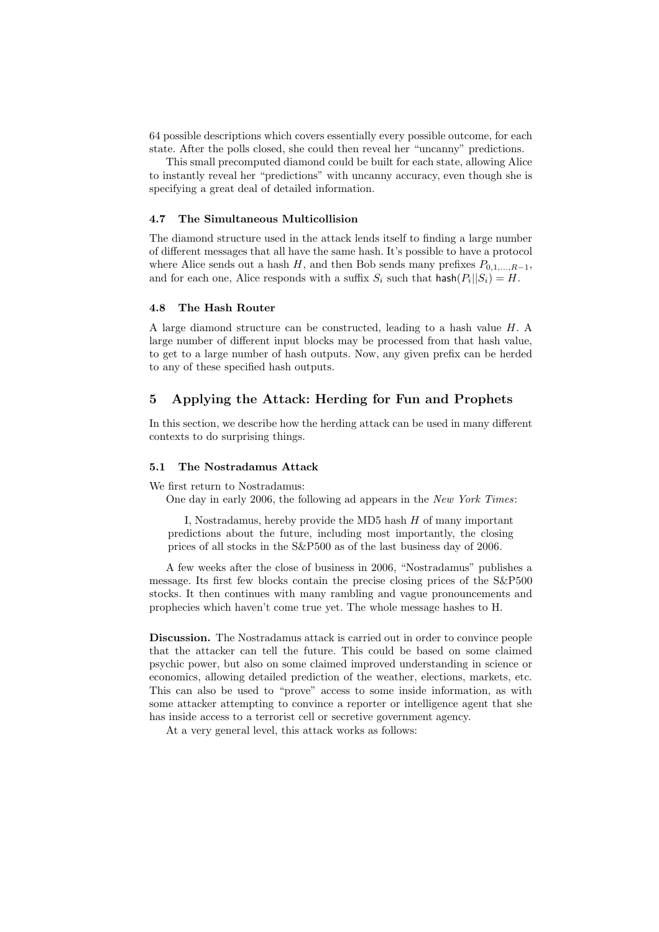64 possible descriptions which covers essentially every possible outcome, for each state. After the polls closed, she could then reveal her "uncanny" predictions.

This small precomputed diamond could be built for each state, allowing Alice to instantly reveal her "predictions" with uncanny accuracy, even though she is specifying a great deal of detailed information.

#### 4.7 The Simultaneous Multicollision

The diamond structure used in the attack lends itself to finding a large number of different messages that all have the same hash. It's possible to have a protocol where Alice sends out a hash H, and then Bob sends many prefixes  $P_{0,1,...,R-1}$ , and for each one, Alice responds with a suffix  $S_i$  such that  $\text{hash}(P_i||S_i) = H$ .

# 4.8 The Hash Router

A large diamond structure can be constructed, leading to a hash value H. A large number of different input blocks may be processed from that hash value, to get to a large number of hash outputs. Now, any given prefix can be herded to any of these specified hash outputs.

# 5 Applying the Attack: Herding for Fun and Prophets

In this section, we describe how the herding attack can be used in many different contexts to do surprising things.

# 5.1 The Nostradamus Attack

We first return to Nostradamus:

One day in early 2006, the following ad appears in the New York Times:

I, Nostradamus, hereby provide the MD5 hash H of many important predictions about the future, including most importantly, the closing prices of all stocks in the S&P500 as of the last business day of 2006.

A few weeks after the close of business in 2006, "Nostradamus" publishes a message. Its first few blocks contain the precise closing prices of the S&P500 stocks. It then continues with many rambling and vague pronouncements and prophecies which haven't come true yet. The whole message hashes to H.

Discussion. The Nostradamus attack is carried out in order to convince people that the attacker can tell the future. This could be based on some claimed psychic power, but also on some claimed improved understanding in science or economics, allowing detailed prediction of the weather, elections, markets, etc. This can also be used to "prove" access to some inside information, as with some attacker attempting to convince a reporter or intelligence agent that she has inside access to a terrorist cell or secretive government agency.

At a very general level, this attack works as follows: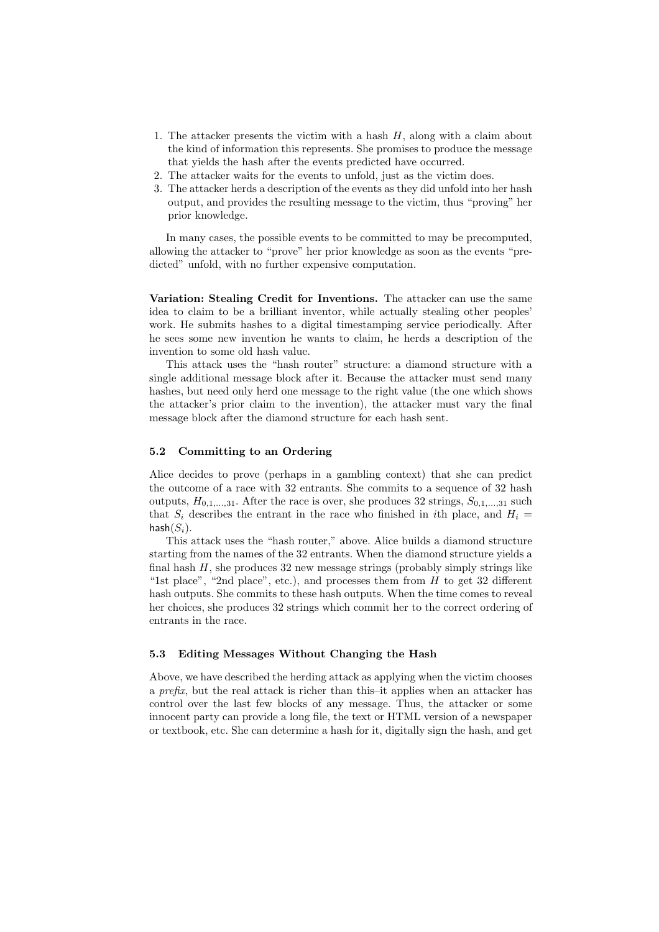- 1. The attacker presents the victim with a hash  $H$ , along with a claim about the kind of information this represents. She promises to produce the message that yields the hash after the events predicted have occurred.
- 2. The attacker waits for the events to unfold, just as the victim does.
- 3. The attacker herds a description of the events as they did unfold into her hash output, and provides the resulting message to the victim, thus "proving" her prior knowledge.

In many cases, the possible events to be committed to may be precomputed, allowing the attacker to "prove" her prior knowledge as soon as the events "predicted" unfold, with no further expensive computation.

Variation: Stealing Credit for Inventions. The attacker can use the same idea to claim to be a brilliant inventor, while actually stealing other peoples' work. He submits hashes to a digital timestamping service periodically. After he sees some new invention he wants to claim, he herds a description of the invention to some old hash value.

This attack uses the "hash router" structure: a diamond structure with a single additional message block after it. Because the attacker must send many hashes, but need only herd one message to the right value (the one which shows the attacker's prior claim to the invention), the attacker must vary the final message block after the diamond structure for each hash sent.

## 5.2 Committing to an Ordering

Alice decides to prove (perhaps in a gambling context) that she can predict the outcome of a race with 32 entrants. She commits to a sequence of 32 hash outputs,  $H_{0,1,...,31}$ . After the race is over, she produces 32 strings,  $S_{0,1,...,31}$  such that  $S_i$  describes the entrant in the race who finished in ith place, and  $H_i =$  $hash(S_i)$ .

This attack uses the "hash router," above. Alice builds a diamond structure starting from the names of the 32 entrants. When the diamond structure yields a final hash  $H$ , she produces 32 new message strings (probably simply strings like "1st place", "2nd place", etc.), and processes them from  $H$  to get 32 different hash outputs. She commits to these hash outputs. When the time comes to reveal her choices, she produces 32 strings which commit her to the correct ordering of entrants in the race.

#### 5.3 Editing Messages Without Changing the Hash

Above, we have described the herding attack as applying when the victim chooses a prefix, but the real attack is richer than this–it applies when an attacker has control over the last few blocks of any message. Thus, the attacker or some innocent party can provide a long file, the text or HTML version of a newspaper or textbook, etc. She can determine a hash for it, digitally sign the hash, and get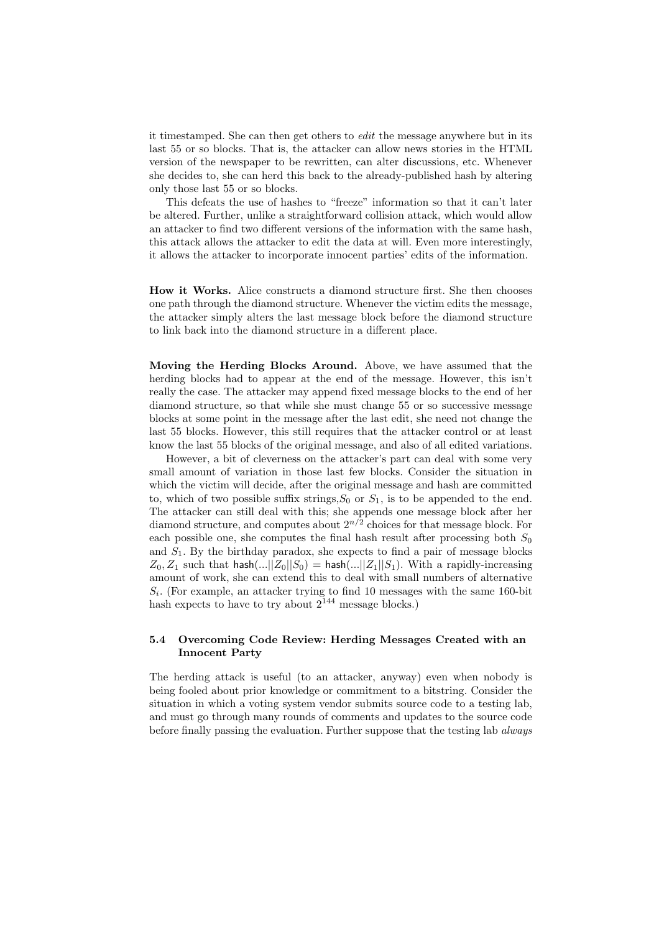it timestamped. She can then get others to edit the message anywhere but in its last 55 or so blocks. That is, the attacker can allow news stories in the HTML version of the newspaper to be rewritten, can alter discussions, etc. Whenever she decides to, she can herd this back to the already-published hash by altering only those last 55 or so blocks.

This defeats the use of hashes to "freeze" information so that it can't later be altered. Further, unlike a straightforward collision attack, which would allow an attacker to find two different versions of the information with the same hash, this attack allows the attacker to edit the data at will. Even more interestingly, it allows the attacker to incorporate innocent parties' edits of the information.

How it Works. Alice constructs a diamond structure first. She then chooses one path through the diamond structure. Whenever the victim edits the message, the attacker simply alters the last message block before the diamond structure to link back into the diamond structure in a different place.

Moving the Herding Blocks Around. Above, we have assumed that the herding blocks had to appear at the end of the message. However, this isn't really the case. The attacker may append fixed message blocks to the end of her diamond structure, so that while she must change 55 or so successive message blocks at some point in the message after the last edit, she need not change the last 55 blocks. However, this still requires that the attacker control or at least know the last 55 blocks of the original message, and also of all edited variations.

However, a bit of cleverness on the attacker's part can deal with some very small amount of variation in those last few blocks. Consider the situation in which the victim will decide, after the original message and hash are committed to, which of two possible suffix strings,  $S_0$  or  $S_1$ , is to be appended to the end. The attacker can still deal with this; she appends one message block after her diamond structure, and computes about  $2^{n/2}$  choices for that message block. For each possible one, she computes the final hash result after processing both  $S_0$ and  $S_1$ . By the birthday paradox, she expects to find a pair of message blocks  $Z_0, Z_1$  such that hash $(...||Z_0||S_0)$  = hash $(...||Z_1||S_1)$ . With a rapidly-increasing amount of work, she can extend this to deal with small numbers of alternative  $S_i$ . (For example, an attacker trying to find 10 messages with the same 160-bit hash expects to have to try about  $2^{144}$  message blocks.)

# 5.4 Overcoming Code Review: Herding Messages Created with an Innocent Party

The herding attack is useful (to an attacker, anyway) even when nobody is being fooled about prior knowledge or commitment to a bitstring. Consider the situation in which a voting system vendor submits source code to a testing lab, and must go through many rounds of comments and updates to the source code before finally passing the evaluation. Further suppose that the testing lab always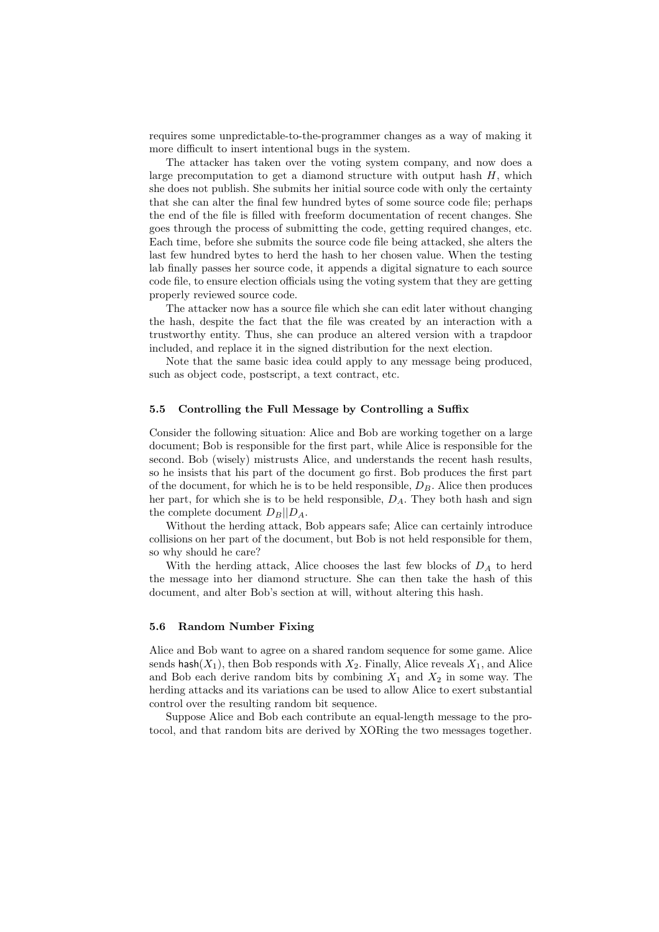requires some unpredictable-to-the-programmer changes as a way of making it more difficult to insert intentional bugs in the system.

The attacker has taken over the voting system company, and now does a large precomputation to get a diamond structure with output hash  $H$ , which she does not publish. She submits her initial source code with only the certainty that she can alter the final few hundred bytes of some source code file; perhaps the end of the file is filled with freeform documentation of recent changes. She goes through the process of submitting the code, getting required changes, etc. Each time, before she submits the source code file being attacked, she alters the last few hundred bytes to herd the hash to her chosen value. When the testing lab finally passes her source code, it appends a digital signature to each source code file, to ensure election officials using the voting system that they are getting properly reviewed source code.

The attacker now has a source file which she can edit later without changing the hash, despite the fact that the file was created by an interaction with a trustworthy entity. Thus, she can produce an altered version with a trapdoor included, and replace it in the signed distribution for the next election.

Note that the same basic idea could apply to any message being produced, such as object code, postscript, a text contract, etc.

#### 5.5 Controlling the Full Message by Controlling a Suffix

Consider the following situation: Alice and Bob are working together on a large document; Bob is responsible for the first part, while Alice is responsible for the second. Bob (wisely) mistrusts Alice, and understands the recent hash results, so he insists that his part of the document go first. Bob produces the first part of the document, for which he is to be held responsible,  $D<sub>B</sub>$ . Alice then produces her part, for which she is to be held responsible,  $D_A$ . They both hash and sign the complete document  $D_B||D_A$ .

Without the herding attack, Bob appears safe; Alice can certainly introduce collisions on her part of the document, but Bob is not held responsible for them, so why should he care?

With the herding attack, Alice chooses the last few blocks of  $D_A$  to herd the message into her diamond structure. She can then take the hash of this document, and alter Bob's section at will, without altering this hash.

### 5.6 Random Number Fixing

Alice and Bob want to agree on a shared random sequence for some game. Alice sends hash $(X_1)$ , then Bob responds with  $X_2$ . Finally, Alice reveals  $X_1$ , and Alice and Bob each derive random bits by combining  $X_1$  and  $X_2$  in some way. The herding attacks and its variations can be used to allow Alice to exert substantial control over the resulting random bit sequence.

Suppose Alice and Bob each contribute an equal-length message to the protocol, and that random bits are derived by XORing the two messages together.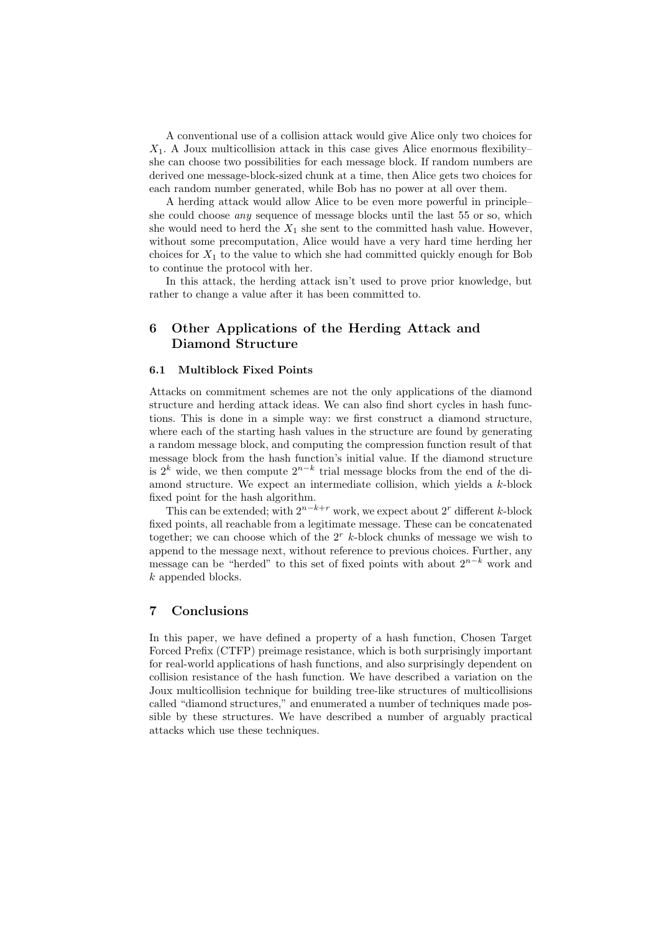A conventional use of a collision attack would give Alice only two choices for  $X_1$ . A Joux multicollision attack in this case gives Alice enormous flexibility– she can choose two possibilities for each message block. If random numbers are derived one message-block-sized chunk at a time, then Alice gets two choices for each random number generated, while Bob has no power at all over them.

A herding attack would allow Alice to be even more powerful in principle– she could choose any sequence of message blocks until the last 55 or so, which she would need to herd the  $X_1$  she sent to the committed hash value. However, without some precomputation, Alice would have a very hard time herding her choices for  $X_1$  to the value to which she had committed quickly enough for Bob to continue the protocol with her.

In this attack, the herding attack isn't used to prove prior knowledge, but rather to change a value after it has been committed to.

# 6 Other Applications of the Herding Attack and Diamond Structure

# 6.1 Multiblock Fixed Points

Attacks on commitment schemes are not the only applications of the diamond structure and herding attack ideas. We can also find short cycles in hash functions. This is done in a simple way: we first construct a diamond structure, where each of the starting hash values in the structure are found by generating a random message block, and computing the compression function result of that message block from the hash function's initial value. If the diamond structure is  $2^k$  wide, we then compute  $2^{n-k}$  trial message blocks from the end of the diamond structure. We expect an intermediate collision, which yields a k-block fixed point for the hash algorithm.

This can be extended; with  $2^{n-k+r}$  work, we expect about  $2^r$  different k-block fixed points, all reachable from a legitimate message. These can be concatenated together; we can choose which of the  $2<sup>r</sup>$  k-block chunks of message we wish to append to the message next, without reference to previous choices. Further, any message can be "herded" to this set of fixed points with about  $2^{n-k}$  work and k appended blocks.

# 7 Conclusions

In this paper, we have defined a property of a hash function, Chosen Target Forced Prefix (CTFP) preimage resistance, which is both surprisingly important for real-world applications of hash functions, and also surprisingly dependent on collision resistance of the hash function. We have described a variation on the Joux multicollision technique for building tree-like structures of multicollisions called "diamond structures," and enumerated a number of techniques made possible by these structures. We have described a number of arguably practical attacks which use these techniques.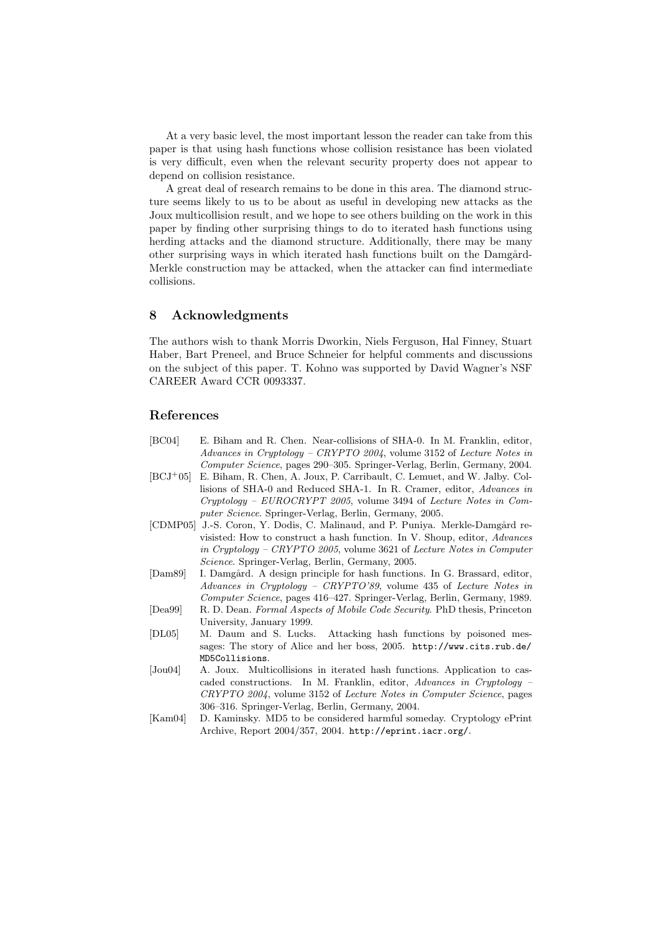At a very basic level, the most important lesson the reader can take from this paper is that using hash functions whose collision resistance has been violated is very difficult, even when the relevant security property does not appear to depend on collision resistance.

A great deal of research remains to be done in this area. The diamond structure seems likely to us to be about as useful in developing new attacks as the Joux multicollision result, and we hope to see others building on the work in this paper by finding other surprising things to do to iterated hash functions using herding attacks and the diamond structure. Additionally, there may be many other surprising ways in which iterated hash functions built on the Damgård-Merkle construction may be attacked, when the attacker can find intermediate collisions.

# 8 Acknowledgments

The authors wish to thank Morris Dworkin, Niels Ferguson, Hal Finney, Stuart Haber, Bart Preneel, and Bruce Schneier for helpful comments and discussions on the subject of this paper. T. Kohno was supported by David Wagner's NSF CAREER Award CCR 0093337.

# References

- [BC04] E. Biham and R. Chen. Near-collisions of SHA-0. In M. Franklin, editor, Advances in Cryptology – CRYPTO 2004, volume 3152 of Lecture Notes in Computer Science, pages 290–305. Springer-Verlag, Berlin, Germany, 2004.
- [BCJ<sup>+</sup>05] E. Biham, R. Chen, A. Joux, P. Carribault, C. Lemuet, and W. Jalby. Collisions of SHA-0 and Reduced SHA-1. In R. Cramer, editor, Advances in Cryptology – EUROCRYPT 2005, volume 3494 of Lecture Notes in Computer Science. Springer-Verlag, Berlin, Germany, 2005.
- [CDMP05] J.-S. Coron, Y. Dodis, C. Malinaud, and P. Puniya. Merkle-Damgård revisisted: How to construct a hash function. In V. Shoup, editor, Advances in Cryptology – CRYPTO 2005, volume 3621 of Lecture Notes in Computer Science. Springer-Verlag, Berlin, Germany, 2005.
- [Dam89] I. Damgård. A design principle for hash functions. In G. Brassard, editor, Advances in Cryptology – CRYPTO'89, volume 435 of Lecture Notes in Computer Science, pages 416–427. Springer-Verlag, Berlin, Germany, 1989.
- [Dea99] R. D. Dean. Formal Aspects of Mobile Code Security. PhD thesis, Princeton University, January 1999.
- [DL05] M. Daum and S. Lucks. Attacking hash functions by poisoned messages: The story of Alice and her boss, 2005. http://www.cits.rub.de/ MD5Collisions.
- [Jou04] A. Joux. Multicollisions in iterated hash functions. Application to cascaded constructions. In M. Franklin, editor, Advances in Cryptology – CRYPTO 2004, volume 3152 of Lecture Notes in Computer Science, pages 306–316. Springer-Verlag, Berlin, Germany, 2004.
- [Kam04] D. Kaminsky. MD5 to be considered harmful someday. Cryptology ePrint Archive, Report 2004/357, 2004. http://eprint.iacr.org/.